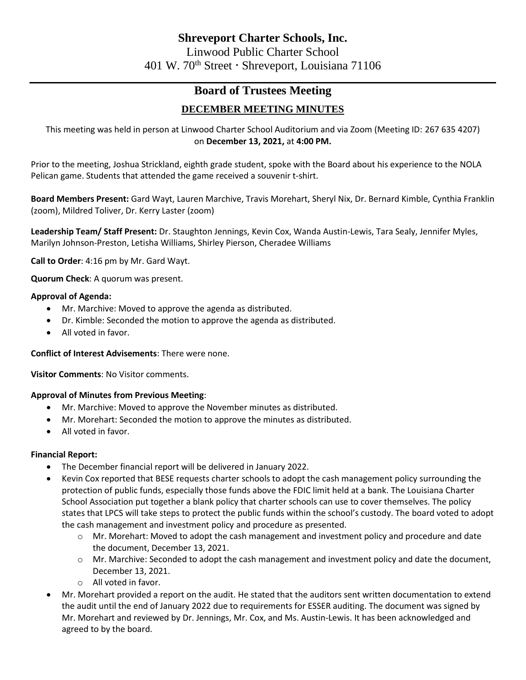# **Board of Trustees Meeting DECEMBER MEETING MINUTES**

This meeting was held in person at Linwood Charter School Auditorium and via Zoom (Meeting ID: 267 635 4207) on **December 13, 2021,** at **4:00 PM.**

Prior to the meeting, Joshua Strickland, eighth grade student, spoke with the Board about his experience to the NOLA Pelican game. Students that attended the game received a souvenir t-shirt.

**Board Members Present:** Gard Wayt, Lauren Marchive, Travis Morehart, Sheryl Nix, Dr. Bernard Kimble, Cynthia Franklin (zoom), Mildred Toliver, Dr. Kerry Laster (zoom)

**Leadership Team/ Staff Present:** Dr. Staughton Jennings, Kevin Cox, Wanda Austin-Lewis, Tara Sealy, Jennifer Myles, Marilyn Johnson-Preston, Letisha Williams, Shirley Pierson, Cheradee Williams

**Call to Order**: 4:16 pm by Mr. Gard Wayt.

**Quorum Check**: A quorum was present.

# **Approval of Agenda:**

- Mr. Marchive: Moved to approve the agenda as distributed.
- Dr. Kimble: Seconded the motion to approve the agenda as distributed.
- All voted in favor.

## **Conflict of Interest Advisements**: There were none.

**Visitor Comments**: No Visitor comments.

## **Approval of Minutes from Previous Meeting**:

- Mr. Marchive: Moved to approve the November minutes as distributed.
- Mr. Morehart: Seconded the motion to approve the minutes as distributed.
- All voted in favor.

## **Financial Report:**

- The December financial report will be delivered in January 2022.
- Kevin Cox reported that BESE requests charter schools to adopt the cash management policy surrounding the protection of public funds, especially those funds above the FDIC limit held at a bank. The Louisiana Charter School Association put together a blank policy that charter schools can use to cover themselves. The policy states that LPCS will take steps to protect the public funds within the school's custody. The board voted to adopt the cash management and investment policy and procedure as presented.
	- o Mr. Morehart: Moved to adopt the cash management and investment policy and procedure and date the document, December 13, 2021.
	- o Mr. Marchive: Seconded to adopt the cash management and investment policy and date the document, December 13, 2021.
	- o All voted in favor.
- Mr. Morehart provided a report on the audit. He stated that the auditors sent written documentation to extend the audit until the end of January 2022 due to requirements for ESSER auditing. The document was signed by Mr. Morehart and reviewed by Dr. Jennings, Mr. Cox, and Ms. Austin-Lewis. It has been acknowledged and agreed to by the board.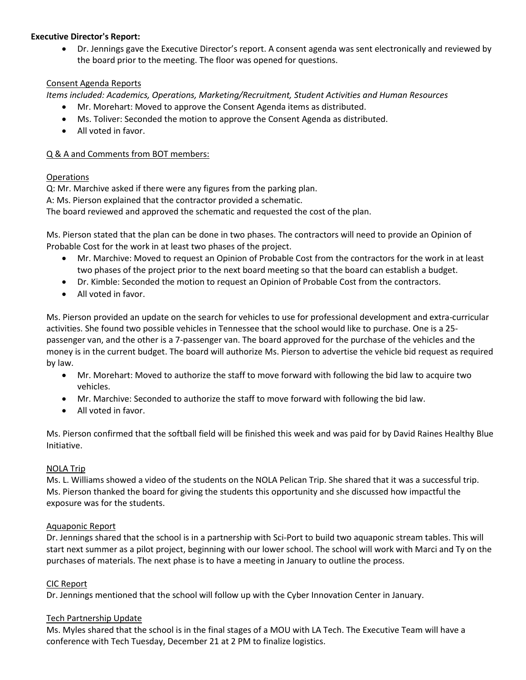# **Executive Director's Report:**

• Dr. Jennings gave the Executive Director's report. A consent agenda was sent electronically and reviewed by the board prior to the meeting. The floor was opened for questions.

# Consent Agenda Reports

*Items included: Academics, Operations, Marketing/Recruitment, Student Activities and Human Resources*

- Mr. Morehart: Moved to approve the Consent Agenda items as distributed.
- Ms. Toliver: Seconded the motion to approve the Consent Agenda as distributed.
- All voted in favor.

# Q & A and Comments from BOT members:

## Operations

Q: Mr. Marchive asked if there were any figures from the parking plan.

A: Ms. Pierson explained that the contractor provided a schematic.

The board reviewed and approved the schematic and requested the cost of the plan.

Ms. Pierson stated that the plan can be done in two phases. The contractors will need to provide an Opinion of Probable Cost for the work in at least two phases of the project.

- Mr. Marchive: Moved to request an Opinion of Probable Cost from the contractors for the work in at least two phases of the project prior to the next board meeting so that the board can establish a budget.
- Dr. Kimble: Seconded the motion to request an Opinion of Probable Cost from the contractors.
- All voted in favor.

Ms. Pierson provided an update on the search for vehicles to use for professional development and extra-curricular activities. She found two possible vehicles in Tennessee that the school would like to purchase. One is a 25 passenger van, and the other is a 7-passenger van. The board approved for the purchase of the vehicles and the money is in the current budget. The board will authorize Ms. Pierson to advertise the vehicle bid request as required by law.

- Mr. Morehart: Moved to authorize the staff to move forward with following the bid law to acquire two vehicles.
- Mr. Marchive: Seconded to authorize the staff to move forward with following the bid law.
- All voted in favor.

Ms. Pierson confirmed that the softball field will be finished this week and was paid for by David Raines Healthy Blue Initiative.

## NOLA Trip

Ms. L. Williams showed a video of the students on the NOLA Pelican Trip. She shared that it was a successful trip. Ms. Pierson thanked the board for giving the students this opportunity and she discussed how impactful the exposure was for the students.

## Aquaponic Report

Dr. Jennings shared that the school is in a partnership with Sci-Port to build two aquaponic stream tables. This will start next summer as a pilot project, beginning with our lower school. The school will work with Marci and Ty on the purchases of materials. The next phase is to have a meeting in January to outline the process.

## CIC Report

Dr. Jennings mentioned that the school will follow up with the Cyber Innovation Center in January.

## Tech Partnership Update

Ms. Myles shared that the school is in the final stages of a MOU with LA Tech. The Executive Team will have a conference with Tech Tuesday, December 21 at 2 PM to finalize logistics.